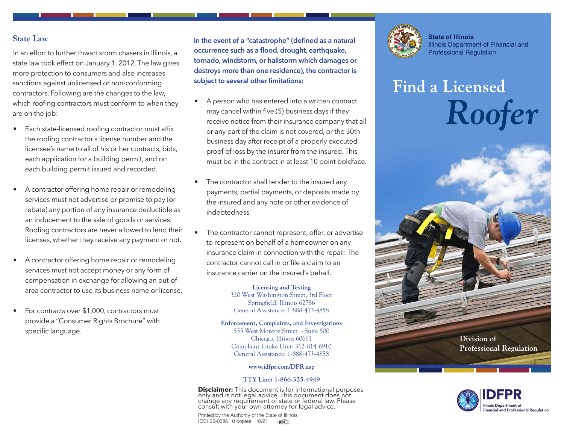## **State Law**

In an effort to further thwart storm chasers in Illinois, a state law took effect on January 1, 2012. The law gives more protection to consumers and also increases sanctions against unlicensed or non-conforming contractors. Following are the changes to the law, which roofing contractors must conform to when they are on the job:

- Each state-licensed roofing contractor must affix the roofing contractor's license number and the licensee's name to all of his or her contracts, bids, each application for a building permit, and on each building permit issued and recorded.
- A contractor offering home repair or remodeling services must not advertise or promise to pay (or rebate) any portion of any insurance deductible as an inducement to the sale of goods or services. Roofing contractors are never allowed to lend their licenses, whether they receive any payment or not.
- A contractor offering home repair or remodeling services must not accept money or any form of compensation in exchange for allowing an out-ofarea contractor to use its business name or license.
- For contracts over \$1,000, contractors must provide a "Consumer Rights Brochure" with specific language.

**In the event of a "catastrophe" (defined as a natural occurrence such as a flood, drought, earthquake, tornado, windstorm, or hailstorm which damages or destroys more than one residence), the contractor is subject to several other limitations:** 

- A person who has entered into a written contract may cancel within five (5) business days if they receive notice from their insurance company that all or any part of the claim is not covered, or the 30th business day after receipt of a properly executed proof of loss by the insurer from the insured. This must be in the contract in at least 10 point boldface.
- The contractor shall tender to the insured any payments, partial payments, or deposits made by the insured and any note or other evidence of indebtedness.
- The contractor cannot represent, offer, or advertise to represent on behalf of a homeowner on any insurance claim in connection with the repair. The contractor cannot call in or file a claim to an insurance carrier on the insured's behalf.

**Licensing and Testing**  320 West Washington Street, 3rd Floor Springfield, Illinois 62786 General Assistance: 1-888-473-4858

**Enforcement, Complaints, and Investigations**  555 West Monroe Street - Suite 500 Chicago, Illinois 60661 Complaint Intake Unit: 312-814-6910 General Assistance: 1-888-473-4858

### **[www.idfpr.com/DPR.asp](http://www.idfpr.com/DPR.asp)**

### **TTY Line: 1-866-325-4949**

**Disclaimer:** This document is for informational purposes<br>only and is not legal advice. This document doe<u>s</u> not change any requirement of state or federal law. Please consult with your own attorney for legal advice.

Printed by the Authority of the State of Illinois IOCI 22-0386 0 copies 10/21



**State of Illinois** Illinois Department of Financial and Professional Regulation

# **Find a Licensed** *Roofer*